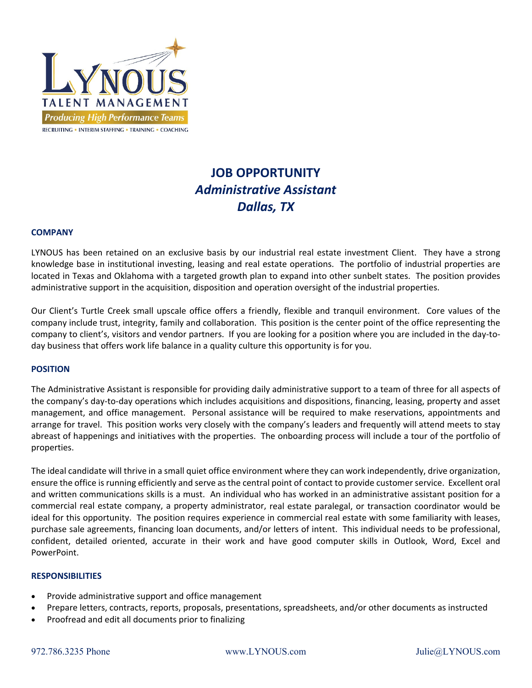

# **JOB OPPORTUNITY** *Administrative Assistant Dallas, TX*

#### **COMPANY**

LYNOUS has been retained on an exclusive basis by our industrial real estate investment Client. They have a strong knowledge base in institutional investing, leasing and real estate operations. The portfolio of industrial properties are located in Texas and Oklahoma with a targeted growth plan to expand into other sunbelt states. The position provides administrative support in the acquisition, disposition and operation oversight of the industrial properties.

Our Client's Turtle Creek small upscale office offers a friendly, flexible and tranquil environment. Core values of the company include trust, integrity, family and collaboration. This position is the center point of the office representing the company to client's, visitors and vendor partners. If you are looking for a position where you are included in the day-today business that offers work life balance in a quality culture this opportunity is for you.

#### **POSITION**

The Administrative Assistant is responsible for providing daily administrative support to a team of three for all aspects of the company's day‐to‐day operations which includes acquisitions and dispositions, financing, leasing, property and asset management, and office management. Personal assistance will be required to make reservations, appointments and arrange for travel. This position works very closely with the company's leaders and frequently will attend meets to stay abreast of happenings and initiatives with the properties. The onboarding process will include a tour of the portfolio of properties.

The ideal candidate will thrive in a small quiet office environment where they can work independently, drive organization, ensure the office is running efficiently and serve as the central point of contact to provide customer service. Excellent oral and written communications skills is a must. An individual who has worked in an administrative assistant position for a commercial real estate company, a property administrator, real estate paralegal, or transaction coordinator would be ideal for this opportunity. The position requires experience in commercial real estate with some familiarity with leases, purchase sale agreements, financing loan documents, and/or letters of intent. This individual needs to be professional, confident, detailed oriented, accurate in their work and have good computer skills in Outlook, Word, Excel and PowerPoint.

### **RESPONSIBILITIES**

- Provide administrative support and office management
- Prepare letters, contracts, reports, proposals, presentations, spreadsheets, and/or other documents as instructed
- Proofread and edit all documents prior to finalizing